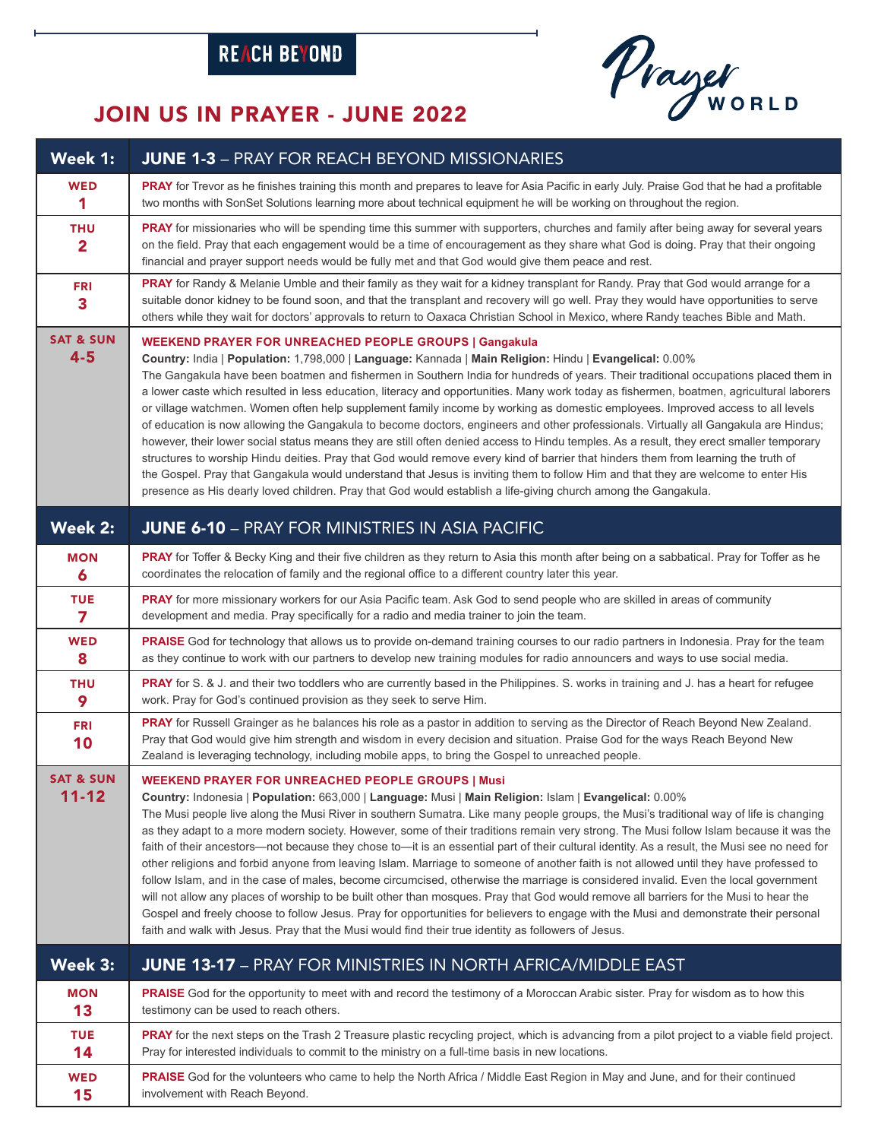## REACH BEYOND



## JOIN US IN PRAYER - JUNE 2022

| Week 1:                               | <b>JUNE 1-3</b> - PRAY FOR REACH BEYOND MISSIONARIES                                                                                                                                                                                                                                                                                                                                                                                                                                                                                                                                                                                                                                                                                                                                                                                                                                                                                                                                                                                                                                                                                                                                                                                                                            |
|---------------------------------------|---------------------------------------------------------------------------------------------------------------------------------------------------------------------------------------------------------------------------------------------------------------------------------------------------------------------------------------------------------------------------------------------------------------------------------------------------------------------------------------------------------------------------------------------------------------------------------------------------------------------------------------------------------------------------------------------------------------------------------------------------------------------------------------------------------------------------------------------------------------------------------------------------------------------------------------------------------------------------------------------------------------------------------------------------------------------------------------------------------------------------------------------------------------------------------------------------------------------------------------------------------------------------------|
| <b>WED</b>                            | PRAY for Trevor as he finishes training this month and prepares to leave for Asia Pacific in early July. Praise God that he had a profitable                                                                                                                                                                                                                                                                                                                                                                                                                                                                                                                                                                                                                                                                                                                                                                                                                                                                                                                                                                                                                                                                                                                                    |
| 1                                     | two months with SonSet Solutions learning more about technical equipment he will be working on throughout the region.                                                                                                                                                                                                                                                                                                                                                                                                                                                                                                                                                                                                                                                                                                                                                                                                                                                                                                                                                                                                                                                                                                                                                           |
| <b>THU</b><br>$\overline{\mathbf{2}}$ | PRAY for missionaries who will be spending time this summer with supporters, churches and family after being away for several years<br>on the field. Pray that each engagement would be a time of encouragement as they share what God is doing. Pray that their ongoing<br>financial and prayer support needs would be fully met and that God would give them peace and rest.                                                                                                                                                                                                                                                                                                                                                                                                                                                                                                                                                                                                                                                                                                                                                                                                                                                                                                  |
| <b>FRI</b><br>3                       | PRAY for Randy & Melanie Umble and their family as they wait for a kidney transplant for Randy. Pray that God would arrange for a<br>suitable donor kidney to be found soon, and that the transplant and recovery will go well. Pray they would have opportunities to serve<br>others while they wait for doctors' approvals to return to Oaxaca Christian School in Mexico, where Randy teaches Bible and Math.                                                                                                                                                                                                                                                                                                                                                                                                                                                                                                                                                                                                                                                                                                                                                                                                                                                                |
| <b>SAT &amp; SUN</b><br>$4 - 5$       | <b>WEEKEND PRAYER FOR UNREACHED PEOPLE GROUPS   Gangakula</b><br>Country: India   Population: 1,798,000   Language: Kannada   Main Religion: Hindu   Evangelical: 0.00%<br>The Gangakula have been boatmen and fishermen in Southern India for hundreds of years. Their traditional occupations placed them in<br>a lower caste which resulted in less education, literacy and opportunities. Many work today as fishermen, boatmen, agricultural laborers<br>or village watchmen. Women often help supplement family income by working as domestic employees. Improved access to all levels<br>of education is now allowing the Gangakula to become doctors, engineers and other professionals. Virtually all Gangakula are Hindus;<br>however, their lower social status means they are still often denied access to Hindu temples. As a result, they erect smaller temporary<br>structures to worship Hindu deities. Pray that God would remove every kind of barrier that hinders them from learning the truth of<br>the Gospel. Pray that Gangakula would understand that Jesus is inviting them to follow Him and that they are welcome to enter His<br>presence as His dearly loved children. Pray that God would establish a life-giving church among the Gangakula.    |
| Week 2:                               | <b>JUNE 6-10</b> - PRAY FOR MINISTRIES IN ASIA PACIFIC                                                                                                                                                                                                                                                                                                                                                                                                                                                                                                                                                                                                                                                                                                                                                                                                                                                                                                                                                                                                                                                                                                                                                                                                                          |
| <b>MON</b>                            | PRAY for Toffer & Becky King and their five children as they return to Asia this month after being on a sabbatical. Pray for Toffer as he                                                                                                                                                                                                                                                                                                                                                                                                                                                                                                                                                                                                                                                                                                                                                                                                                                                                                                                                                                                                                                                                                                                                       |
| $\boldsymbol{6}$                      | coordinates the relocation of family and the regional office to a different country later this year.                                                                                                                                                                                                                                                                                                                                                                                                                                                                                                                                                                                                                                                                                                                                                                                                                                                                                                                                                                                                                                                                                                                                                                            |
| <b>TUE</b>                            | PRAY for more missionary workers for our Asia Pacific team. Ask God to send people who are skilled in areas of community                                                                                                                                                                                                                                                                                                                                                                                                                                                                                                                                                                                                                                                                                                                                                                                                                                                                                                                                                                                                                                                                                                                                                        |
| 7                                     | development and media. Pray specifically for a radio and media trainer to join the team.                                                                                                                                                                                                                                                                                                                                                                                                                                                                                                                                                                                                                                                                                                                                                                                                                                                                                                                                                                                                                                                                                                                                                                                        |
| <b>WED</b>                            | PRAISE God for technology that allows us to provide on-demand training courses to our radio partners in Indonesia. Pray for the team                                                                                                                                                                                                                                                                                                                                                                                                                                                                                                                                                                                                                                                                                                                                                                                                                                                                                                                                                                                                                                                                                                                                            |
| 8                                     | as they continue to work with our partners to develop new training modules for radio announcers and ways to use social media.                                                                                                                                                                                                                                                                                                                                                                                                                                                                                                                                                                                                                                                                                                                                                                                                                                                                                                                                                                                                                                                                                                                                                   |
| <b>THU</b>                            | PRAY for S. & J. and their two toddlers who are currently based in the Philippines. S. works in training and J. has a heart for refugee                                                                                                                                                                                                                                                                                                                                                                                                                                                                                                                                                                                                                                                                                                                                                                                                                                                                                                                                                                                                                                                                                                                                         |
| 9                                     | work. Pray for God's continued provision as they seek to serve Him.                                                                                                                                                                                                                                                                                                                                                                                                                                                                                                                                                                                                                                                                                                                                                                                                                                                                                                                                                                                                                                                                                                                                                                                                             |
| <b>FRI</b><br>10                      | PRAY for Russell Grainger as he balances his role as a pastor in addition to serving as the Director of Reach Beyond New Zealand.<br>Pray that God would give him strength and wisdom in every decision and situation. Praise God for the ways Reach Beyond New<br>Zealand is leveraging technology, including mobile apps, to bring the Gospel to unreached people.                                                                                                                                                                                                                                                                                                                                                                                                                                                                                                                                                                                                                                                                                                                                                                                                                                                                                                            |
| <b>SAT &amp; SUN</b><br>$11 - 12$     | <b>WEEKEND PRAYER FOR UNREACHED PEOPLE GROUPS   Musi</b><br>Country: Indonesia   Population: 663,000   Language: Musi   Main Religion: Islam   Evangelical: 0.00%<br>The Musi people live along the Musi River in southern Sumatra. Like many people groups, the Musi's traditional way of life is changing<br>as they adapt to a more modern society. However, some of their traditions remain very strong. The Musi follow Islam because it was the<br>faith of their ancestors-not because they chose to-it is an essential part of their cultural identity. As a result, the Musi see no need for<br>other religions and forbid anyone from leaving Islam. Marriage to someone of another faith is not allowed until they have professed to<br>follow Islam, and in the case of males, become circumcised, otherwise the marriage is considered invalid. Even the local government<br>will not allow any places of worship to be built other than mosques. Pray that God would remove all barriers for the Musi to hear the<br>Gospel and freely choose to follow Jesus. Pray for opportunities for believers to engage with the Musi and demonstrate their personal<br>faith and walk with Jesus. Pray that the Musi would find their true identity as followers of Jesus. |
| Week 3:                               | <b>JUNE 13-17 - PRAY FOR MINISTRIES IN NORTH AFRICA/MIDDLE EAST</b>                                                                                                                                                                                                                                                                                                                                                                                                                                                                                                                                                                                                                                                                                                                                                                                                                                                                                                                                                                                                                                                                                                                                                                                                             |
| <b>MON</b>                            | PRAISE God for the opportunity to meet with and record the testimony of a Moroccan Arabic sister. Pray for wisdom as to how this                                                                                                                                                                                                                                                                                                                                                                                                                                                                                                                                                                                                                                                                                                                                                                                                                                                                                                                                                                                                                                                                                                                                                |
| 13                                    | testimony can be used to reach others.                                                                                                                                                                                                                                                                                                                                                                                                                                                                                                                                                                                                                                                                                                                                                                                                                                                                                                                                                                                                                                                                                                                                                                                                                                          |
| <b>TUE</b>                            | PRAY for the next steps on the Trash 2 Treasure plastic recycling project, which is advancing from a pilot project to a viable field project.                                                                                                                                                                                                                                                                                                                                                                                                                                                                                                                                                                                                                                                                                                                                                                                                                                                                                                                                                                                                                                                                                                                                   |
| 14                                    | Pray for interested individuals to commit to the ministry on a full-time basis in new locations.                                                                                                                                                                                                                                                                                                                                                                                                                                                                                                                                                                                                                                                                                                                                                                                                                                                                                                                                                                                                                                                                                                                                                                                |
| <b>WED</b>                            | PRAISE God for the volunteers who came to help the North Africa / Middle East Region in May and June, and for their continued                                                                                                                                                                                                                                                                                                                                                                                                                                                                                                                                                                                                                                                                                                                                                                                                                                                                                                                                                                                                                                                                                                                                                   |
| 15                                    | involvement with Reach Beyond.                                                                                                                                                                                                                                                                                                                                                                                                                                                                                                                                                                                                                                                                                                                                                                                                                                                                                                                                                                                                                                                                                                                                                                                                                                                  |